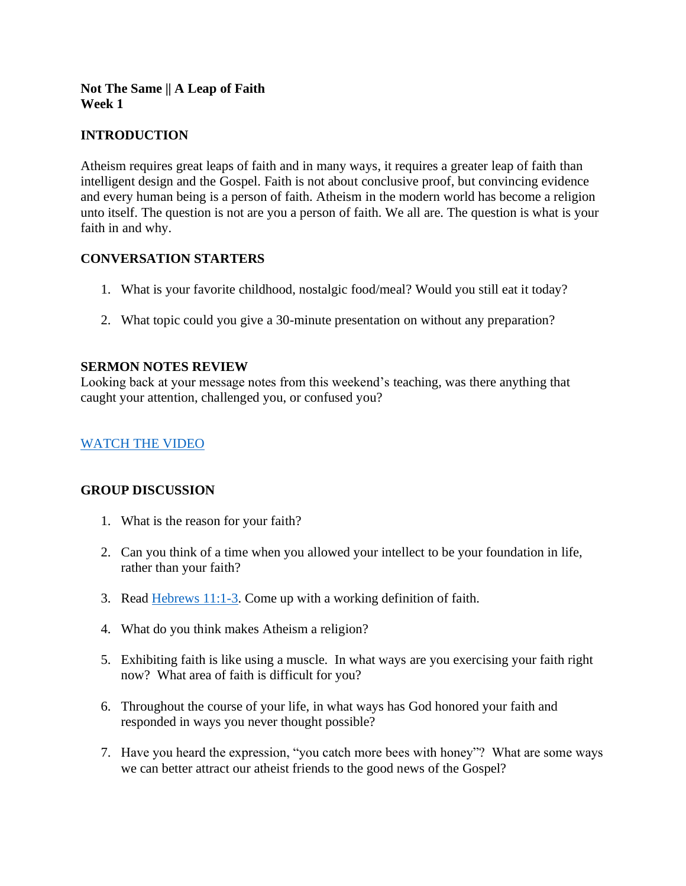#### **Not The Same || A Leap of Faith Week 1**

## **INTRODUCTION**

Atheism requires great leaps of faith and in many ways, it requires a greater leap of faith than intelligent design and the Gospel. Faith is not about conclusive proof, but convincing evidence and every human being is a person of faith. Atheism in the modern world has become a religion unto itself. The question is not are you a person of faith. We all are. The question is what is your faith in and why.

### **CONVERSATION STARTERS**

- 1. What is your favorite childhood, nostalgic food/meal? Would you still eat it today?
- 2. What topic could you give a 30-minute presentation on without any preparation?

### **SERMON NOTES REVIEW**

Looking back at your message notes from this weekend's teaching, was there anything that caught your attention, challenged you, or confused you?

## [WATCH THE VIDEO](https://www.youtube.com/watch?v=7JfKd97P_B4)

#### **GROUP DISCUSSION**

- 1. What is the reason for your faith?
- 2. Can you think of a time when you allowed your intellect to be your foundation in life, rather than your faith?
- 3. Read [Hebrews 11:1-3.](https://www.biblegateway.com/passage/?search=Hebrews+11%3A1-3&version=NIV) Come up with a working definition of faith.
- 4. What do you think makes Atheism a religion?
- 5. Exhibiting faith is like using a muscle. In what ways are you exercising your faith right now? What area of faith is difficult for you?
- 6. Throughout the course of your life, in what ways has God honored your faith and responded in ways you never thought possible?
- 7. Have you heard the expression, "you catch more bees with honey"? What are some ways we can better attract our atheist friends to the good news of the Gospel?